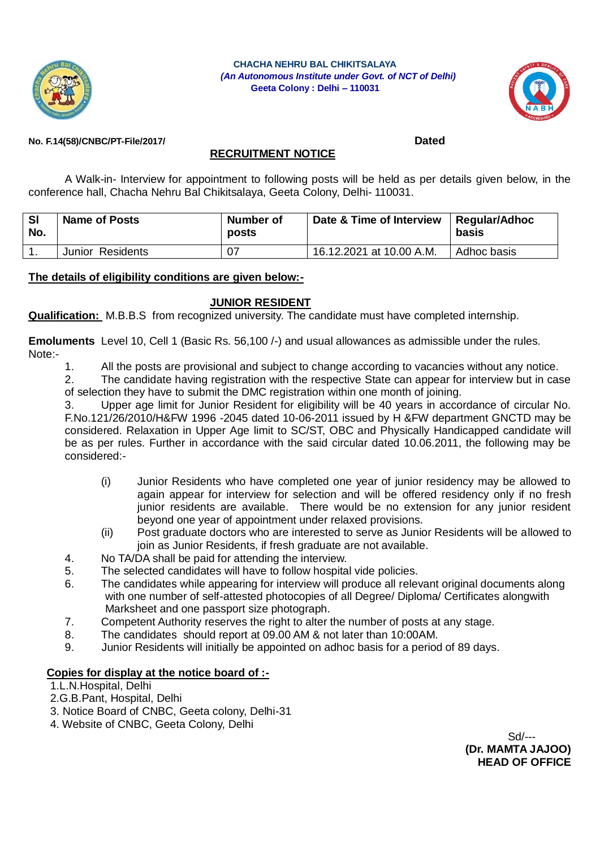

 **CHACHA NEHRU BAL CHIKITSALAYA**  *(An Autonomous Institute under Govt. of NCT of Delhi)* **Geeta Colony : Delhi – 110031**



### **No. F.14(58)/CNBC/PT-File/2017/ Dated**

## **RECRUITMENT NOTICE**

A Walk-in- Interview for appointment to following posts will be held as per details given below, in the conference hall, Chacha Nehru Bal Chikitsalaya, Geeta Colony, Delhi- 110031.

| <b>SI</b><br>No. | <b>Name of Posts</b> | Number of<br>posts | Date & Time of Interview   Regular/Adhoc | basis       |
|------------------|----------------------|--------------------|------------------------------------------|-------------|
|                  | Junior Residents     | 07                 | 16.12.2021 at 10.00 A.M.                 | Adhoc basis |

#### **The details of eligibility conditions are given below:-**

## **JUNIOR RESIDENT**

**Qualification:** M.B.B.S from recognized university. The candidate must have completed internship.

**Emoluments** Level 10, Cell 1 (Basic Rs. 56,100 /-) and usual allowances as admissible under the rules. Note:-

1. All the posts are provisional and subject to change according to vacancies without any notice.

2. The candidate having registration with the respective State can appear for interview but in case of selection they have to submit the DMC registration within one month of joining.

3. Upper age limit for Junior Resident for eligibility will be 40 years in accordance of circular No. F.No.121/26/2010/H&FW 1996 -2045 dated 10-06-2011 issued by H &FW department GNCTD may be considered. Relaxation in Upper Age limit to SC/ST, OBC and Physically Handicapped candidate will be as per rules. Further in accordance with the said circular dated 10.06.2011, the following may be considered:-

- (i) Junior Residents who have completed one year of junior residency may be allowed to again appear for interview for selection and will be offered residency only if no fresh junior residents are available. There would be no extension for any junior resident beyond one year of appointment under relaxed provisions.
- (ii) Post graduate doctors who are interested to serve as Junior Residents will be allowed to join as Junior Residents, if fresh graduate are not available.
- 4. No TA/DA shall be paid for attending the interview.
- 5. The selected candidates will have to follow hospital vide policies.
- 6. The candidates while appearing for interview will produce all relevant original documents along with one number of self-attested photocopies of all Degree/ Diploma/ Certificates alongwith Marksheet and one passport size photograph.
- 7. Competent Authority reserves the right to alter the number of posts at any stage.
- 8. The candidates should report at 09.00 AM & not later than 10:00AM.
- 9. Junior Residents will initially be appointed on adhoc basis for a period of 89 days.

## **Copies for display at the notice board of :-**

- 1.L.N.Hospital, Delhi
- 2.G.B.Pant, Hospital, Delhi
- 3. Notice Board of CNBC, Geeta colony, Delhi-31
- 4. Website of CNBC, Geeta Colony, Delhi

 Sd/--- **(Dr. MAMTA JAJOO) HEAD OF OFFICE**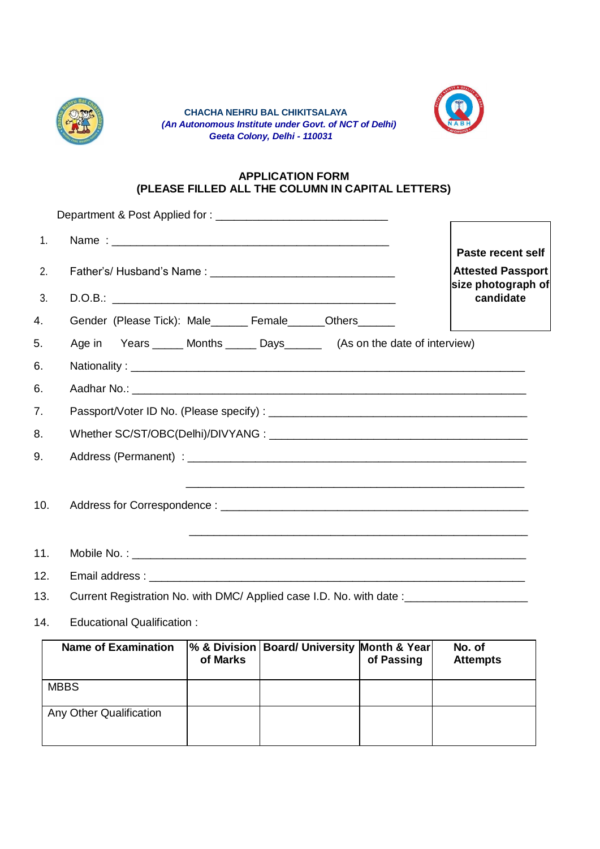

 **CHACHA NEHRU BAL CHIKITSALAYA**  *(An Autonomous Institute under Govt. of NCT of Delhi) Geeta Colony, Delhi - 110031*



# **APPLICATION FORM (PLEASE FILLED ALL THE COLUMN IN CAPITAL LETTERS)**

| 1.  |                                                                                                                                                                                                                                             |                                                                     |  |  |
|-----|---------------------------------------------------------------------------------------------------------------------------------------------------------------------------------------------------------------------------------------------|---------------------------------------------------------------------|--|--|
| 2.  |                                                                                                                                                                                                                                             | Paste recent self<br><b>Attested Passport</b><br>size photograph of |  |  |
| 3.  |                                                                                                                                                                                                                                             | candidate                                                           |  |  |
| 4.  | Gender (Please Tick): Male_____ Female______Others_____                                                                                                                                                                                     |                                                                     |  |  |
| 5.  | Age in Years _____ Months _____ Days ______ (As on the date of interview)                                                                                                                                                                   |                                                                     |  |  |
| 6.  |                                                                                                                                                                                                                                             |                                                                     |  |  |
| 6.  |                                                                                                                                                                                                                                             |                                                                     |  |  |
| 7.  |                                                                                                                                                                                                                                             |                                                                     |  |  |
| 8.  |                                                                                                                                                                                                                                             |                                                                     |  |  |
| 9.  |                                                                                                                                                                                                                                             |                                                                     |  |  |
| 10. | <u> 1989 - Johann Harry Louis, marwolaethau a chwaraethau a chwaraethau a chwaraethau a chwaraethau a chwaraeth</u><br><u> 1990 - Jan James James James James James James James James James James James James James James James James J</u> |                                                                     |  |  |
| 11. |                                                                                                                                                                                                                                             |                                                                     |  |  |
| 12. |                                                                                                                                                                                                                                             |                                                                     |  |  |
| 13. | Current Registration No. with DMC/ Applied case I.D. No. with date: ___________________                                                                                                                                                     |                                                                     |  |  |
| 14. | <b>Educational Qualification:</b>                                                                                                                                                                                                           |                                                                     |  |  |
|     | % & Division   Board/ University Month & Year<br><b>Name of Examination</b>                                                                                                                                                                 | No. of                                                              |  |  |

| <b>Name of Examination</b> | of Marks | % & Division   Board/ University Month & Year | of Passing | No. of<br><b>Attempts</b> |
|----------------------------|----------|-----------------------------------------------|------------|---------------------------|
| <b>MBBS</b>                |          |                                               |            |                           |
| Any Other Qualification    |          |                                               |            |                           |